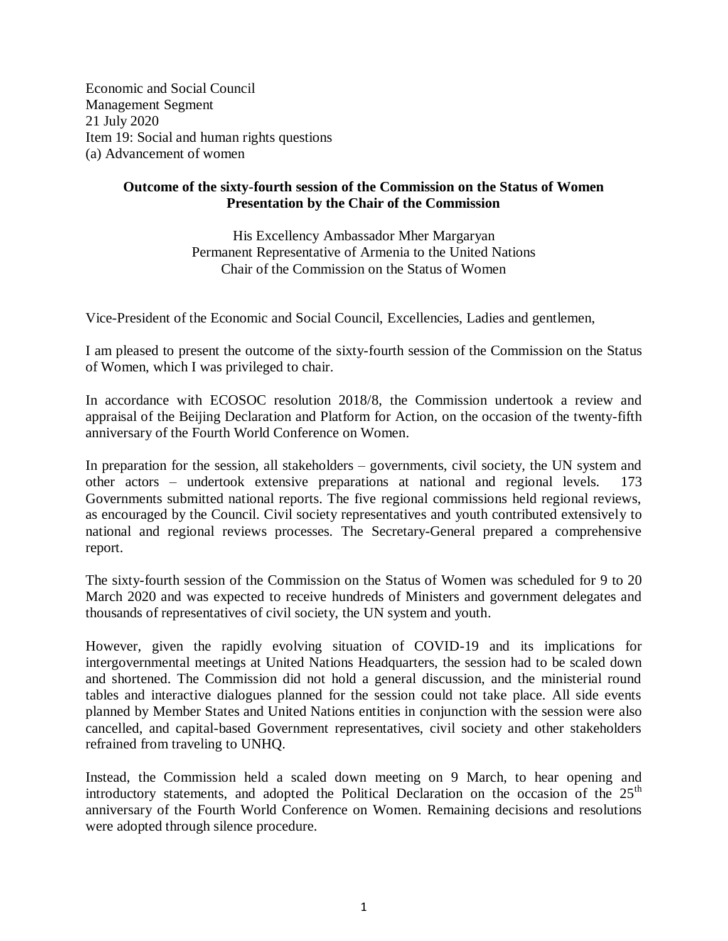Economic and Social Council Management Segment 21 July 2020 Item 19: Social and human rights questions (a) Advancement of women

## **Outcome of the sixty-fourth session of the Commission on the Status of Women Presentation by the Chair of the Commission**

His Excellency Ambassador Mher Margaryan Permanent Representative of Armenia to the United Nations Chair of the Commission on the Status of Women

Vice-President of the Economic and Social Council, Excellencies, Ladies and gentlemen,

I am pleased to present the outcome of the sixty-fourth session of the Commission on the Status of Women, which I was privileged to chair.

In accordance with ECOSOC resolution 2018/8, the Commission undertook a review and appraisal of the Beijing Declaration and Platform for Action, on the occasion of the twenty-fifth anniversary of the Fourth World Conference on Women.

In preparation for the session, all stakeholders – governments, civil society, the UN system and other actors – undertook extensive preparations at national and regional levels. 173 Governments submitted national reports. The five regional commissions held regional reviews, as encouraged by the Council. Civil society representatives and youth contributed extensively to national and regional reviews processes. The Secretary-General prepared a comprehensive report.

The sixty-fourth session of the Commission on the Status of Women was scheduled for 9 to 20 March 2020 and was expected to receive hundreds of Ministers and government delegates and thousands of representatives of civil society, the UN system and youth.

However, given the rapidly evolving situation of COVID-19 and its implications for intergovernmental meetings at United Nations Headquarters, the session had to be scaled down and shortened. The Commission did not hold a general discussion, and the ministerial round tables and interactive dialogues planned for the session could not take place. All side events planned by Member States and United Nations entities in conjunction with the session were also cancelled, and capital-based Government representatives, civil society and other stakeholders refrained from traveling to UNHQ.

Instead, the Commission held a scaled down meeting on 9 March, to hear opening and introductory statements, and adopted the Political Declaration on the occasion of the  $25<sup>th</sup>$ anniversary of the Fourth World Conference on Women. Remaining decisions and resolutions were adopted through silence procedure.